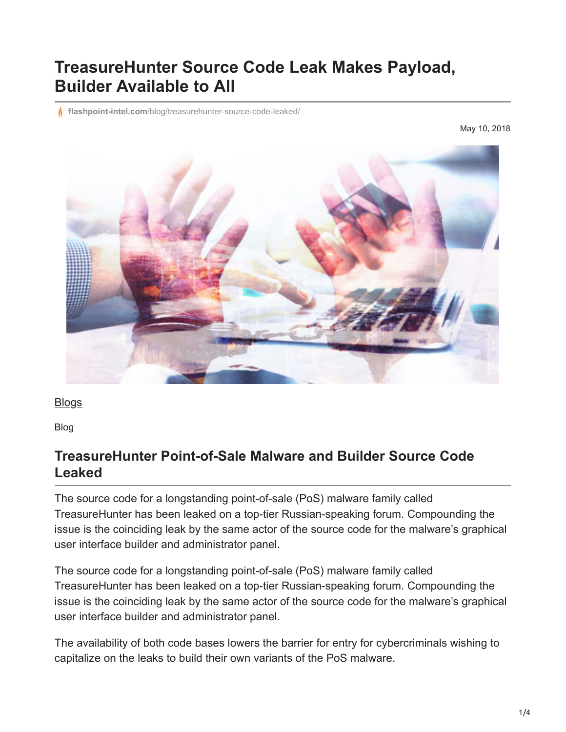# **TreasureHunter Source Code Leak Makes Payload, Builder Available to All**

**flashpoint-intel.com**[/blog/treasurehunter-source-code-leaked/](https://www.flashpoint-intel.com/blog/treasurehunter-source-code-leaked/)

May 10, 2018



**[Blogs](https://www.flashpoint-intel.com/blog)** 

Blog

#### **TreasureHunter Point-of-Sale Malware and Builder Source Code Leaked**

The source code for a longstanding point-of-sale (PoS) malware family called TreasureHunter has been leaked on a top-tier Russian-speaking forum. Compounding the issue is the coinciding leak by the same actor of the source code for the malware's graphical user interface builder and administrator panel.

The source code for a longstanding point-of-sale (PoS) malware family called TreasureHunter has been leaked on a top-tier Russian-speaking forum. Compounding the issue is the coinciding leak by the same actor of the source code for the malware's graphical user interface builder and administrator panel.

The availability of both code bases lowers the barrier for entry for cybercriminals wishing to capitalize on the leaks to build their own variants of the PoS malware.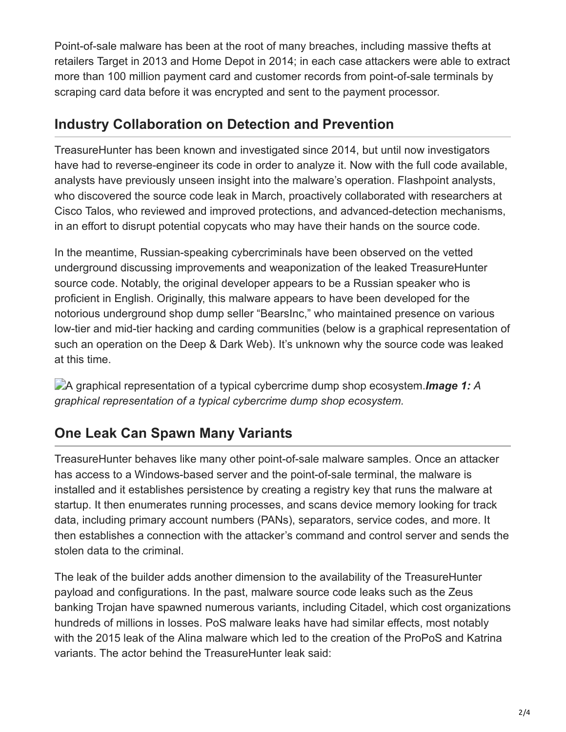Point-of-sale malware has been at the root of many breaches, including massive thefts at retailers Target in 2013 and Home Depot in 2014; in each case attackers were able to extract more than 100 million payment card and customer records from point-of-sale terminals by scraping card data before it was encrypted and sent to the payment processor.

#### **Industry Collaboration on Detection and Prevention**

TreasureHunter has been known and investigated since 2014, but until now investigators have had to reverse-engineer its code in order to analyze it. Now with the full code available, analysts have previously unseen insight into the malware's operation. Flashpoint analysts, who discovered the source code leak in March, proactively collaborated with researchers at Cisco Talos, who reviewed and improved protections, and advanced-detection mechanisms, in an effort to disrupt potential copycats who may have their hands on the source code.

In the meantime, Russian-speaking cybercriminals have been observed on the vetted underground discussing improvements and weaponization of the leaked TreasureHunter source code. Notably, the original developer appears to be a Russian speaker who is proficient in English. Originally, this malware appears to have been developed for the notorious underground shop dump seller "BearsInc," who maintained presence on various low-tier and mid-tier hacking and carding communities (below is a graphical representation of such an operation on the Deep & Dark Web). It's unknown why the source code was leaked at this time.

A graphical representation of a typical cybercrime dump shop ecosystem.*Image 1: A graphical representation of a typical cybercrime dump shop ecosystem.*

## **One Leak Can Spawn Many Variants**

TreasureHunter behaves like many other point-of-sale malware samples. Once an attacker has access to a Windows-based server and the point-of-sale terminal, the malware is installed and it establishes persistence by creating a registry key that runs the malware at startup. It then enumerates running processes, and scans device memory looking for track data, including primary account numbers (PANs), separators, service codes, and more. It then establishes a connection with the attacker's command and control server and sends the stolen data to the criminal.

The leak of the builder adds another dimension to the availability of the TreasureHunter payload and configurations. In the past, malware source code leaks such as the Zeus banking Trojan have spawned numerous variants, including Citadel, which cost organizations hundreds of millions in losses. PoS malware leaks have had similar effects, most notably with the 2015 leak of the Alina malware which led to the creation of the ProPoS and Katrina variants. The actor behind the TreasureHunter leak said: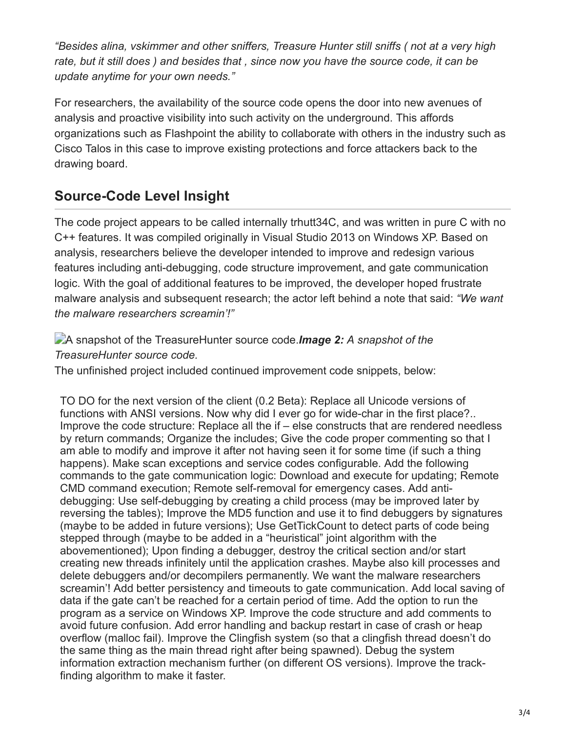*"Besides alina, vskimmer and other sniffers, Treasure Hunter still sniffs ( not at a very high rate, but it still does ) and besides that , since now you have the source code, it can be update anytime for your own needs."*

For researchers, the availability of the source code opens the door into new avenues of analysis and proactive visibility into such activity on the underground. This affords organizations such as Flashpoint the ability to collaborate with others in the industry such as Cisco Talos in this case to improve existing protections and force attackers back to the drawing board.

### **Source-Code Level Insight**

The code project appears to be called internally trhutt34C, and was written in pure C with no C++ features. It was compiled originally in Visual Studio 2013 on Windows XP. Based on analysis, researchers believe the developer intended to improve and redesign various features including anti-debugging, code structure improvement, and gate communication logic. With the goal of additional features to be improved, the developer hoped frustrate malware analysis and subsequent research; the actor left behind a note that said: *"We want the malware researchers screamin'!"*

A snapshot of the TreasureHunter source code.*Image 2: A snapshot of the TreasureHunter source code.*

The unfinished project included continued improvement code snippets, below:

TO DO for the next version of the client (0.2 Beta): Replace all Unicode versions of functions with ANSI versions. Now why did I ever go for wide-char in the first place?.. Improve the code structure: Replace all the if – else constructs that are rendered needless by return commands; Organize the includes; Give the code proper commenting so that I am able to modify and improve it after not having seen it for some time (if such a thing happens). Make scan exceptions and service codes configurable. Add the following commands to the gate communication logic: Download and execute for updating; Remote CMD command execution; Remote self-removal for emergency cases. Add antidebugging: Use self-debugging by creating a child process (may be improved later by reversing the tables); Improve the MD5 function and use it to find debuggers by signatures (maybe to be added in future versions); Use GetTickCount to detect parts of code being stepped through (maybe to be added in a "heuristical" joint algorithm with the abovementioned); Upon finding a debugger, destroy the critical section and/or start creating new threads infinitely until the application crashes. Maybe also kill processes and delete debuggers and/or decompilers permanently. We want the malware researchers screamin'! Add better persistency and timeouts to gate communication. Add local saving of data if the gate can't be reached for a certain period of time. Add the option to run the program as a service on Windows XP. Improve the code structure and add comments to avoid future confusion. Add error handling and backup restart in case of crash or heap overflow (malloc fail). Improve the Clingfish system (so that a clingfish thread doesn't do the same thing as the main thread right after being spawned). Debug the system information extraction mechanism further (on different OS versions). Improve the trackfinding algorithm to make it faster.